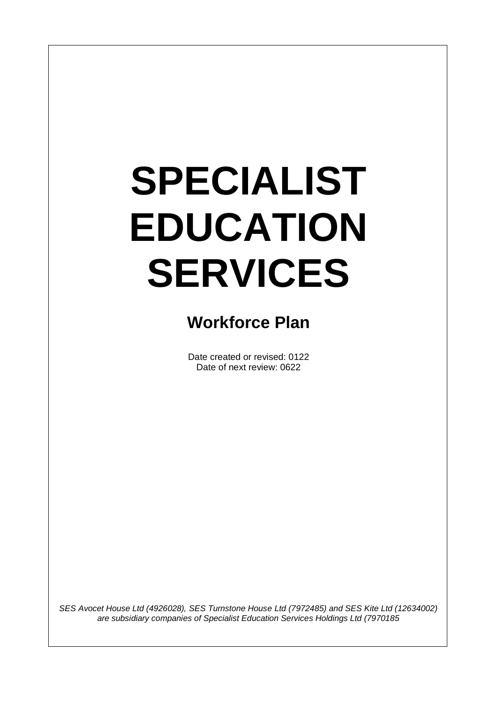# **SPECIALIST EDUCATION SERVICES**

 $\overline{\phantom{a}}$ 

## **Workforce Plan**

Date created or revised: 0122 Date of next review: 0622

*SES Avocet House Ltd (4926028), SES Turnstone House Ltd (7972485) and SES Kite Ltd (12634002) are subsidiary companies of Specialist Education Services Holdings Ltd (7970185*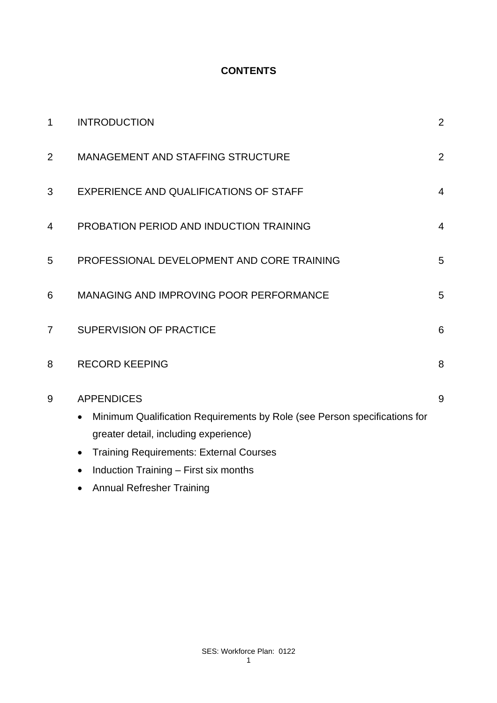#### **CONTENTS**

| $\mathbf 1$    | <b>INTRODUCTION</b>                                                                                                                                                                                                                                          | $\overline{2}$ |
|----------------|--------------------------------------------------------------------------------------------------------------------------------------------------------------------------------------------------------------------------------------------------------------|----------------|
| $\overline{2}$ | <b>MANAGEMENT AND STAFFING STRUCTURE</b>                                                                                                                                                                                                                     | $\overline{2}$ |
| 3              | EXPERIENCE AND QUALIFICATIONS OF STAFF                                                                                                                                                                                                                       | $\overline{4}$ |
| 4              | PROBATION PERIOD AND INDUCTION TRAINING                                                                                                                                                                                                                      | $\overline{4}$ |
| 5              | PROFESSIONAL DEVELOPMENT AND CORE TRAINING                                                                                                                                                                                                                   | 5              |
| 6              | <b>MANAGING AND IMPROVING POOR PERFORMANCE</b>                                                                                                                                                                                                               | 5              |
| 7              | <b>SUPERVISION OF PRACTICE</b>                                                                                                                                                                                                                               | 6              |
| 8              | <b>RECORD KEEPING</b>                                                                                                                                                                                                                                        | 8              |
| 9              | <b>APPENDICES</b><br>Minimum Qualification Requirements by Role (see Person specifications for<br>greater detail, including experience)<br><b>Training Requirements: External Courses</b><br>$\bullet$<br>Induction Training - First six months<br>$\bullet$ | 9              |
|                | <b>Annual Refresher Training</b>                                                                                                                                                                                                                             |                |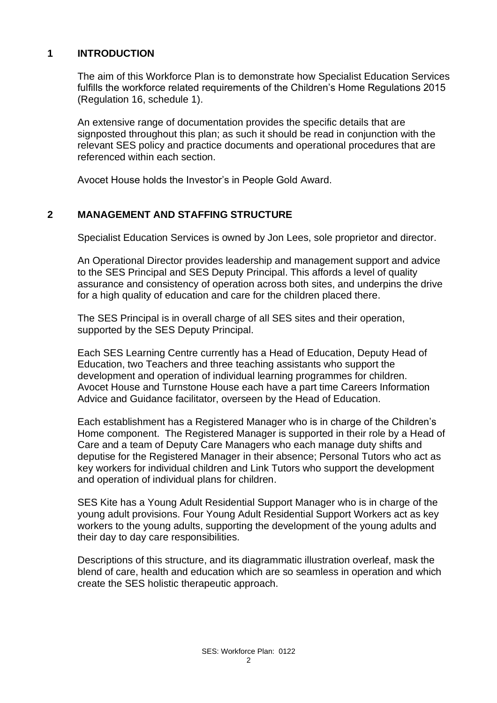#### **1 INTRODUCTION**

The aim of this Workforce Plan is to demonstrate how Specialist Education Services fulfills the workforce related requirements of the Children's Home Regulations 2015 (Regulation 16, schedule 1).

An extensive range of documentation provides the specific details that are signposted throughout this plan; as such it should be read in conjunction with the relevant SES policy and practice documents and operational procedures that are referenced within each section.

Avocet House holds the Investor's in People Gold Award.

#### **2 MANAGEMENT AND STAFFING STRUCTURE**

Specialist Education Services is owned by Jon Lees, sole proprietor and director.

An Operational Director provides leadership and management support and advice to the SES Principal and SES Deputy Principal. This affords a level of quality assurance and consistency of operation across both sites, and underpins the drive for a high quality of education and care for the children placed there.

The SES Principal is in overall charge of all SES sites and their operation, supported by the SES Deputy Principal.

Each SES Learning Centre currently has a Head of Education, Deputy Head of Education, two Teachers and three teaching assistants who support the development and operation of individual learning programmes for children. Avocet House and Turnstone House each have a part time Careers Information Advice and Guidance facilitator, overseen by the Head of Education.

Each establishment has a Registered Manager who is in charge of the Children's Home component. The Registered Manager is supported in their role by a Head of Care and a team of Deputy Care Managers who each manage duty shifts and deputise for the Registered Manager in their absence; Personal Tutors who act as key workers for individual children and Link Tutors who support the development and operation of individual plans for children.

SES Kite has a Young Adult Residential Support Manager who is in charge of the young adult provisions. Four Young Adult Residential Support Workers act as key workers to the young adults, supporting the development of the young adults and their day to day care responsibilities.

Descriptions of this structure, and its diagrammatic illustration overleaf, mask the blend of care, health and education which are so seamless in operation and which create the SES holistic therapeutic approach.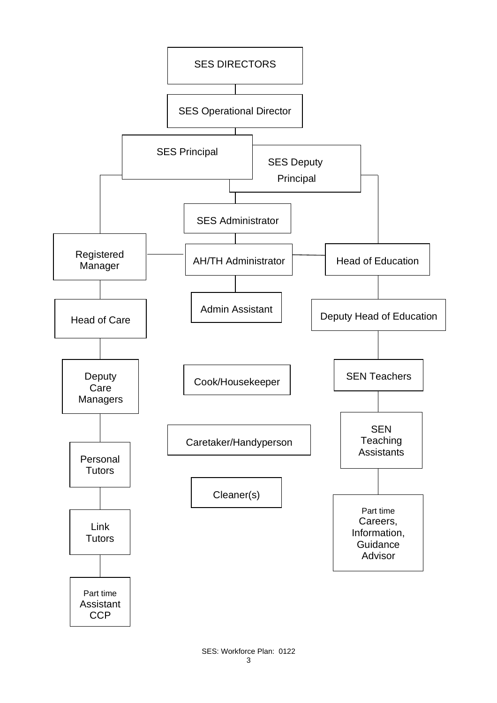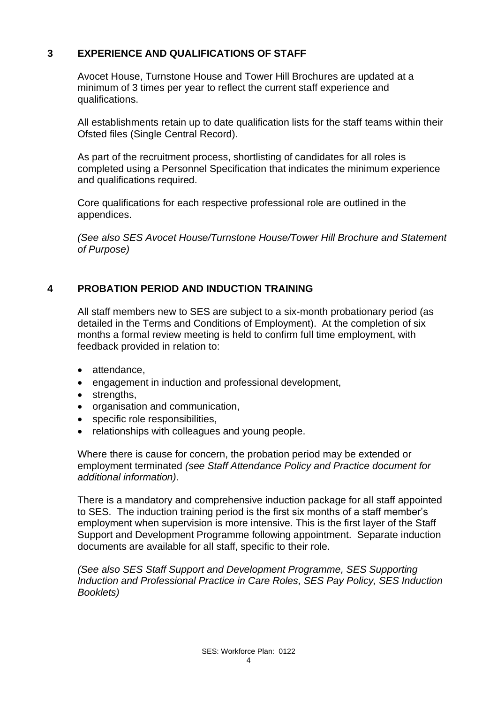#### **3 EXPERIENCE AND QUALIFICATIONS OF STAFF**

Avocet House, Turnstone House and Tower Hill Brochures are updated at a minimum of 3 times per year to reflect the current staff experience and qualifications.

All establishments retain up to date qualification lists for the staff teams within their Ofsted files (Single Central Record).

As part of the recruitment process, shortlisting of candidates for all roles is completed using a Personnel Specification that indicates the minimum experience and qualifications required.

Core qualifications for each respective professional role are outlined in the appendices.

*(See also SES Avocet House/Turnstone House/Tower Hill Brochure and Statement of Purpose)*

#### **4 PROBATION PERIOD AND INDUCTION TRAINING**

All staff members new to SES are subject to a six-month probationary period (as detailed in the Terms and Conditions of Employment). At the completion of six months a formal review meeting is held to confirm full time employment, with feedback provided in relation to:

- attendance,
- engagement in induction and professional development,
- strengths,
- organisation and communication,
- specific role responsibilities,
- relationships with colleagues and young people.

Where there is cause for concern, the probation period may be extended or employment terminated *(see Staff Attendance Policy and Practice document for additional information)*.

There is a mandatory and comprehensive induction package for all staff appointed to SES. The induction training period is the first six months of a staff member's employment when supervision is more intensive. This is the first layer of the Staff Support and Development Programme following appointment. Separate induction documents are available for all staff, specific to their role.

*(See also SES Staff Support and Development Programme, SES Supporting Induction and Professional Practice in Care Roles, SES Pay Policy, SES Induction Booklets)*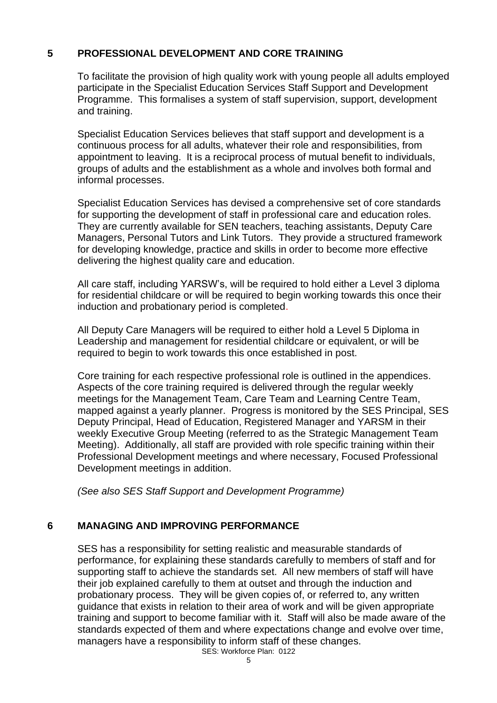#### **5 PROFESSIONAL DEVELOPMENT AND CORE TRAINING**

To facilitate the provision of high quality work with young people all adults employed participate in the Specialist Education Services Staff Support and Development Programme. This formalises a system of staff supervision, support, development and training.

Specialist Education Services believes that staff support and development is a continuous process for all adults, whatever their role and responsibilities, from appointment to leaving. It is a reciprocal process of mutual benefit to individuals, groups of adults and the establishment as a whole and involves both formal and informal processes.

Specialist Education Services has devised a comprehensive set of core standards for supporting the development of staff in professional care and education roles. They are currently available for SEN teachers, teaching assistants, Deputy Care Managers, Personal Tutors and Link Tutors. They provide a structured framework for developing knowledge, practice and skills in order to become more effective delivering the highest quality care and education.

All care staff, including YARSW's, will be required to hold either a Level 3 diploma for residential childcare or will be required to begin working towards this once their induction and probationary period is completed.

All Deputy Care Managers will be required to either hold a Level 5 Diploma in Leadership and management for residential childcare or equivalent, or will be required to begin to work towards this once established in post.

Core training for each respective professional role is outlined in the appendices. Aspects of the core training required is delivered through the regular weekly meetings for the Management Team, Care Team and Learning Centre Team, mapped against a yearly planner. Progress is monitored by the SES Principal, SES Deputy Principal, Head of Education, Registered Manager and YARSM in their weekly Executive Group Meeting (referred to as the Strategic Management Team Meeting). Additionally, all staff are provided with role specific training within their Professional Development meetings and where necessary, Focused Professional Development meetings in addition.

*(See also SES Staff Support and Development Programme)*

#### **6 MANAGING AND IMPROVING PERFORMANCE**

SES has a responsibility for setting realistic and measurable standards of performance, for explaining these standards carefully to members of staff and for supporting staff to achieve the standards set. All new members of staff will have their job explained carefully to them at outset and through the induction and probationary process. They will be given copies of, or referred to, any written guidance that exists in relation to their area of work and will be given appropriate training and support to become familiar with it. Staff will also be made aware of the standards expected of them and where expectations change and evolve over time, managers have a responsibility to inform staff of these changes.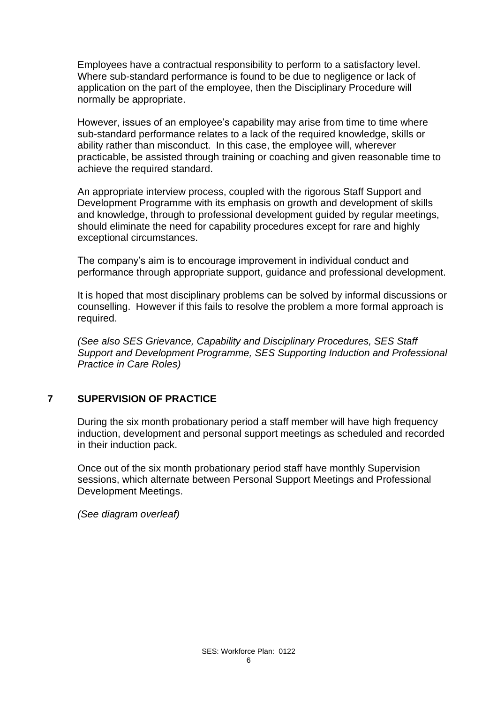Employees have a contractual responsibility to perform to a satisfactory level. Where sub-standard performance is found to be due to negligence or lack of application on the part of the employee, then the Disciplinary Procedure will normally be appropriate.

However, issues of an employee's capability may arise from time to time where sub-standard performance relates to a lack of the required knowledge, skills or ability rather than misconduct. In this case, the employee will, wherever practicable, be assisted through training or coaching and given reasonable time to achieve the required standard.

An appropriate interview process, coupled with the rigorous Staff Support and Development Programme with its emphasis on growth and development of skills and knowledge, through to professional development guided by regular meetings, should eliminate the need for capability procedures except for rare and highly exceptional circumstances.

The company's aim is to encourage improvement in individual conduct and performance through appropriate support, guidance and professional development.

It is hoped that most disciplinary problems can be solved by informal discussions or counselling. However if this fails to resolve the problem a more formal approach is required.

*(See also SES Grievance, Capability and Disciplinary Procedures, SES Staff Support and Development Programme, SES Supporting Induction and Professional Practice in Care Roles)*

#### **7 SUPERVISION OF PRACTICE**

During the six month probationary period a staff member will have high frequency induction, development and personal support meetings as scheduled and recorded in their induction pack.

Once out of the six month probationary period staff have monthly Supervision sessions, which alternate between Personal Support Meetings and Professional Development Meetings.

*(See diagram overleaf)*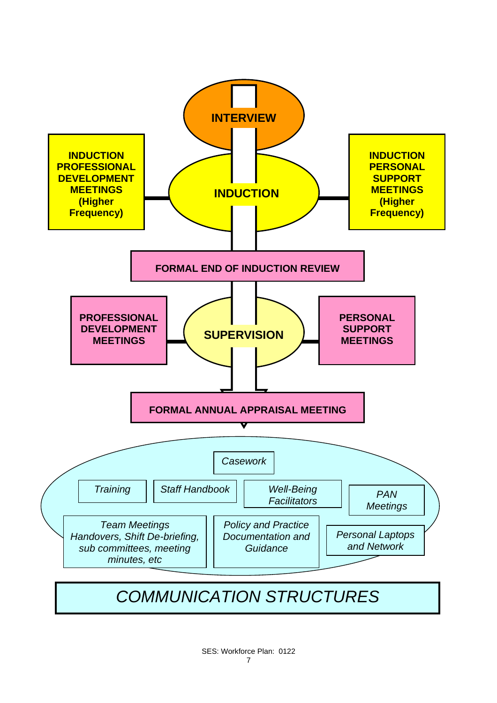

*COMMUNICATION STRUCTURES*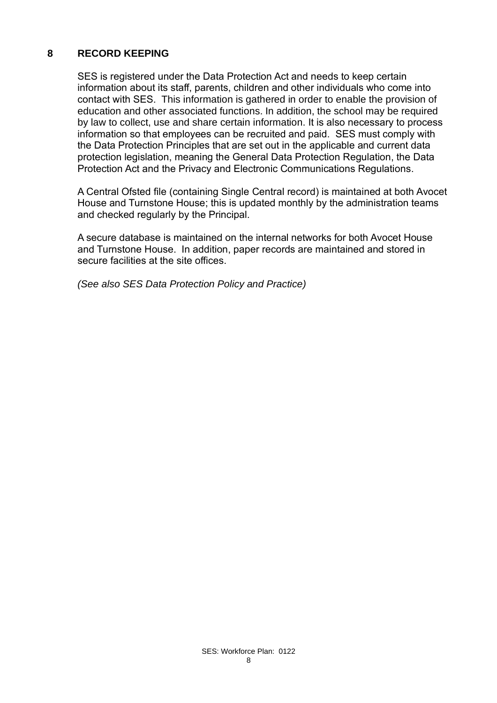#### **8 RECORD KEEPING**

SES is registered under the Data Protection Act and needs to keep certain information about its staff, parents, children and other individuals who come into contact with SES. This information is gathered in order to enable the provision of education and other associated functions. In addition, the school may be required by law to collect, use and share certain information. It is also necessary to process information so that employees can be recruited and paid. SES must comply with the Data Protection Principles that are set out in the applicable and current data protection legislation, meaning the General Data Protection Regulation, the Data Protection Act and the Privacy and Electronic Communications Regulations.

A Central Ofsted file (containing Single Central record) is maintained at both Avocet House and Turnstone House; this is updated monthly by the administration teams and checked regularly by the Principal.

A secure database is maintained on the internal networks for both Avocet House and Turnstone House. In addition, paper records are maintained and stored in secure facilities at the site offices.

*(See also SES Data Protection Policy and Practice)*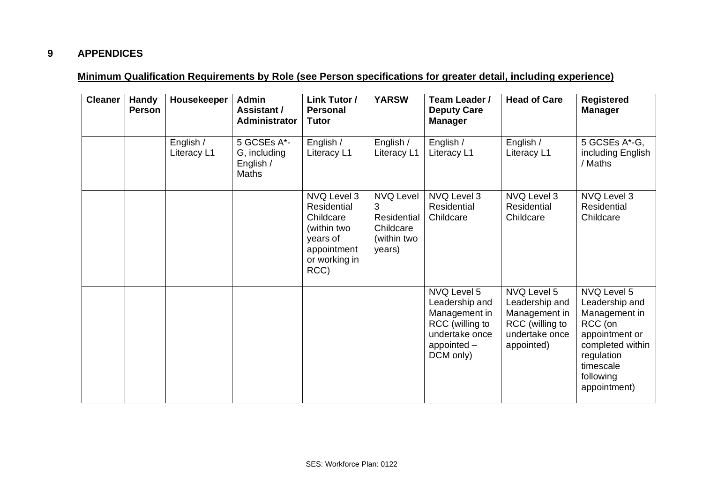#### **9 APPENDICES**

#### **Minimum Qualification Requirements by Role (see Person specifications for greater detail, including experience)**

| <b>Cleaner</b> | <b>Handy</b><br><b>Person</b> | Housekeeper              | <b>Admin</b><br>Assistant /<br>Administrator             | Link Tutor /<br><b>Personal</b><br><b>Tutor</b>                                                            | <b>YARSW</b>                                                               | Team Leader /<br><b>Deputy Care</b><br><b>Manager</b>                                                             | <b>Head of Care</b>                                                                               | <b>Registered</b><br><b>Manager</b>                                                                                                                     |
|----------------|-------------------------------|--------------------------|----------------------------------------------------------|------------------------------------------------------------------------------------------------------------|----------------------------------------------------------------------------|-------------------------------------------------------------------------------------------------------------------|---------------------------------------------------------------------------------------------------|---------------------------------------------------------------------------------------------------------------------------------------------------------|
|                |                               | English /<br>Literacy L1 | 5 GCSEs A*-<br>G, including<br>English /<br><b>Maths</b> | English /<br>Literacy L1                                                                                   | English /<br>Literacy L1                                                   | English /<br>Literacy L1                                                                                          | English /<br>Literacy L1                                                                          | 5 GCSEs A*-G,<br>including English<br>/ Maths                                                                                                           |
|                |                               |                          |                                                          | NVQ Level 3<br>Residential<br>Childcare<br>(within two<br>years of<br>appointment<br>or working in<br>RCC) | <b>NVQ Level</b><br>3<br>Residential<br>Childcare<br>(within two<br>years) | NVQ Level 3<br>Residential<br>Childcare                                                                           | NVQ Level 3<br>Residential<br>Childcare                                                           | NVQ Level 3<br><b>Residential</b><br>Childcare                                                                                                          |
|                |                               |                          |                                                          |                                                                                                            |                                                                            | NVQ Level 5<br>Leadership and<br>Management in<br>RCC (willing to<br>undertake once<br>appointed $-$<br>DCM only) | NVQ Level 5<br>Leadership and<br>Management in<br>RCC (willing to<br>undertake once<br>appointed) | NVQ Level 5<br>Leadership and<br>Management in<br>RCC (on<br>appointment or<br>completed within<br>regulation<br>timescale<br>following<br>appointment) |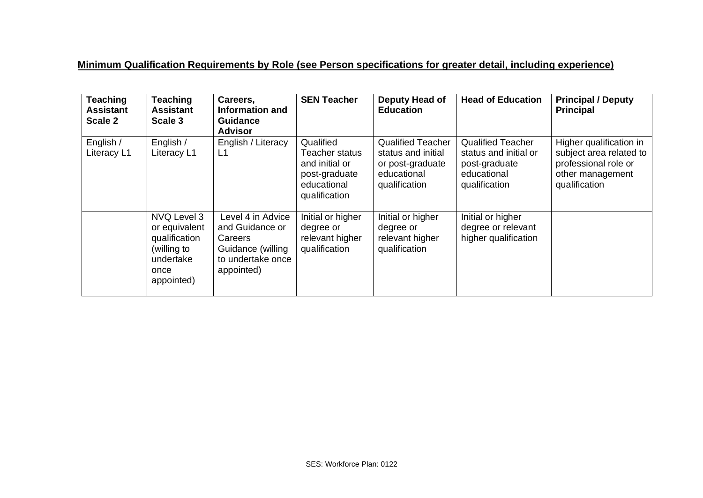#### **Minimum Qualification Requirements by Role (see Person specifications for greater detail, including experience)**

| <b>Teaching</b><br><b>Assistant</b><br>Scale 2 | <b>Teaching</b><br><b>Assistant</b><br>Scale 3                                                  | Careers,<br>Information and<br><b>Guidance</b><br><b>Advisor</b>                                        | <b>SEN Teacher</b>                                                                             | Deputy Head of<br><b>Education</b>                                                                 | <b>Head of Education</b>                                                                           | <b>Principal / Deputy</b><br><b>Principal</b>                                                                   |
|------------------------------------------------|-------------------------------------------------------------------------------------------------|---------------------------------------------------------------------------------------------------------|------------------------------------------------------------------------------------------------|----------------------------------------------------------------------------------------------------|----------------------------------------------------------------------------------------------------|-----------------------------------------------------------------------------------------------------------------|
| English /<br>Literacy L1                       | English /<br>Literacy L1                                                                        | English / Literacy<br>L1                                                                                | Qualified<br>Teacher status<br>and initial or<br>post-graduate<br>educational<br>qualification | <b>Qualified Teacher</b><br>status and initial<br>or post-graduate<br>educational<br>qualification | <b>Qualified Teacher</b><br>status and initial or<br>post-graduate<br>educational<br>qualification | Higher qualification in<br>subject area related to<br>professional role or<br>other management<br>qualification |
|                                                | NVQ Level 3<br>or equivalent<br>qualification<br>(willing to<br>undertake<br>once<br>appointed) | Level 4 in Advice<br>and Guidance or<br>Careers<br>Guidance (willing<br>to undertake once<br>appointed) | Initial or higher<br>degree or<br>relevant higher<br>qualification                             | Initial or higher<br>degree or<br>relevant higher<br>qualification                                 | Initial or higher<br>degree or relevant<br>higher qualification                                    |                                                                                                                 |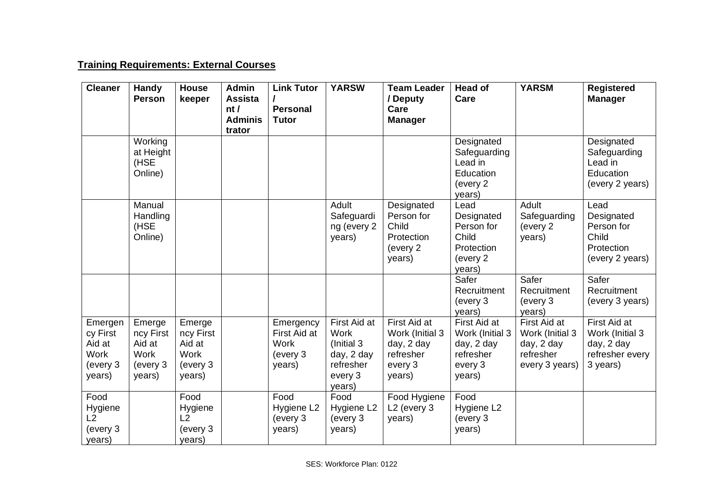#### **Training Requirements: External Courses**

| <b>Cleaner</b>                                                     | Handy<br><b>Person</b>                                             | <b>House</b><br>keeper                                             | <b>Admin</b><br><b>Assista</b><br>nt/<br><b>Adminis</b> | <b>Link Tutor</b><br><b>Personal</b><br><b>Tutor</b>           | <b>YARSW</b>                                                                               | <b>Team Leader</b><br>/ Deputy<br>Care<br><b>Manager</b>                        | <b>Head of</b><br>Care                                                          | <b>YARSM</b>                                                                 | <b>Registered</b><br><b>Manager</b>                                          |
|--------------------------------------------------------------------|--------------------------------------------------------------------|--------------------------------------------------------------------|---------------------------------------------------------|----------------------------------------------------------------|--------------------------------------------------------------------------------------------|---------------------------------------------------------------------------------|---------------------------------------------------------------------------------|------------------------------------------------------------------------------|------------------------------------------------------------------------------|
|                                                                    | Working<br>at Height<br>(HSE<br>Online)                            |                                                                    | trator                                                  |                                                                |                                                                                            |                                                                                 | Designated<br>Safeguarding<br>Lead in<br>Education<br>(every 2<br>years)        |                                                                              | Designated<br>Safeguarding<br>Lead in<br>Education<br>(every 2 years)        |
|                                                                    | Manual<br>Handling<br>(HSE<br>Online)                              |                                                                    |                                                         |                                                                | Adult<br>Safeguardi<br>ng (every 2<br>years)                                               | Designated<br>Person for<br>Child<br>Protection<br>(every 2)<br>years)          | Lead<br>Designated<br>Person for<br>Child<br>Protection<br>(every 2<br>years)   | Adult<br>Safeguarding<br>(every 2<br>years)                                  | Lead<br>Designated<br>Person for<br>Child<br>Protection<br>(every 2 years)   |
|                                                                    |                                                                    |                                                                    |                                                         |                                                                |                                                                                            |                                                                                 | Safer<br>Recruitment<br>(every 3<br>years)                                      | Safer<br>Recruitment<br>(every 3<br>years)                                   | Safer<br>Recruitment<br>(every 3 years)                                      |
| Emergen<br>cy First<br>Aid at<br><b>Work</b><br>(every 3<br>years) | Emerge<br>ncy First<br>Aid at<br><b>Work</b><br>(every 3<br>years) | Emerge<br>ncy First<br>Aid at<br><b>Work</b><br>(every 3<br>years) |                                                         | Emergency<br>First Aid at<br><b>Work</b><br>(every 3<br>years) | First Aid at<br><b>Work</b><br>(Initial 3)<br>day, 2 day<br>refresher<br>every 3<br>years) | First Aid at<br>Work (Initial 3<br>day, 2 day<br>refresher<br>every 3<br>years) | First Aid at<br>Work (Initial 3<br>day, 2 day<br>refresher<br>every 3<br>years) | First Aid at<br>Work (Initial 3<br>day, 2 day<br>refresher<br>every 3 years) | First Aid at<br>Work (Initial 3<br>day, 2 day<br>refresher every<br>3 years) |
| Food<br>Hygiene<br>L2<br>(every 3<br>years)                        |                                                                    | Food<br>Hygiene<br>L2<br>(every 3<br>years)                        |                                                         | Food<br>Hygiene L2<br>(every 3<br>years)                       | Food<br>Hygiene L2<br>(every 3<br>years)                                                   | Food Hygiene<br>L <sub>2</sub> (every 3<br>years)                               | Food<br>Hygiene L2<br>(every 3<br>years)                                        |                                                                              |                                                                              |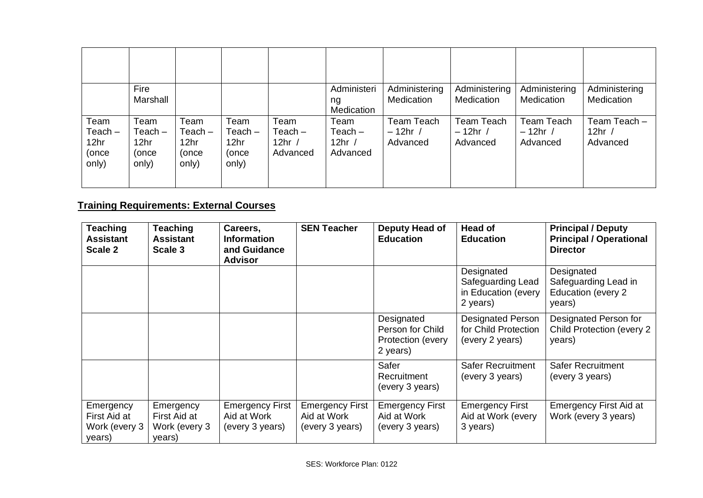|                                                         | Fire<br>Marshall                                        |                                             |                                                         |                                           | Administeri<br>ng<br>Medication           | Administering<br>Medication          | Administering<br>Medication        | Administering<br>Medication               | Administering<br>Medication          |
|---------------------------------------------------------|---------------------------------------------------------|---------------------------------------------|---------------------------------------------------------|-------------------------------------------|-------------------------------------------|--------------------------------------|------------------------------------|-------------------------------------------|--------------------------------------|
| Team<br>$Teach -$<br>12 <sub>hr</sub><br>(once<br>only) | Team<br>$Teach -$<br>12 <sub>hr</sub><br>(once<br>only) | Team<br>$Teach -$<br>12hr<br>(once<br>only) | Team<br>$Teach -$<br>12 <sub>hr</sub><br>(once<br>only) | Team<br>$Teach -$<br>12hr $/$<br>Advanced | Team<br>$Teach -$<br>12hr $/$<br>Advanced | Team Teach<br>$-12$ hr /<br>Advanced | Team Teach<br>$-12hr/$<br>Advanced | <b>Team Teach</b><br>$-12hr/$<br>Advanced | Team Teach -<br>12hr $/$<br>Advanced |

### **Training Requirements: External Courses**

| <b>Teaching</b><br><b>Assistant</b><br>Scale 2       | Teaching<br><b>Assistant</b><br>Scale 3              | Careers,<br><b>Information</b><br>and Guidance<br><b>Advisor</b> | <b>SEN Teacher</b>                                       | Deputy Head of<br><b>Education</b>                              | <b>Head of</b><br><b>Education</b>                                  | <b>Principal / Deputy</b><br><b>Principal / Operational</b><br><b>Director</b> |
|------------------------------------------------------|------------------------------------------------------|------------------------------------------------------------------|----------------------------------------------------------|-----------------------------------------------------------------|---------------------------------------------------------------------|--------------------------------------------------------------------------------|
|                                                      |                                                      |                                                                  |                                                          |                                                                 | Designated<br>Safeguarding Lead<br>in Education (every<br>2 years)  | Designated<br>Safeguarding Lead in<br>Education (every 2<br>years)             |
|                                                      |                                                      |                                                                  |                                                          | Designated<br>Person for Child<br>Protection (every<br>2 years) | <b>Designated Person</b><br>for Child Protection<br>(every 2 years) | Designated Person for<br>Child Protection (every 2<br>years)                   |
|                                                      |                                                      |                                                                  |                                                          | Safer<br>Recruitment<br>(every 3 years)                         | <b>Safer Recruitment</b><br>(every 3 years)                         | <b>Safer Recruitment</b><br>(every 3 years)                                    |
| Emergency<br>First Aid at<br>Work (every 3<br>years) | Emergency<br>First Aid at<br>Work (every 3<br>years) | <b>Emergency First</b><br>Aid at Work<br>(every 3 years)         | <b>Emergency First</b><br>Aid at Work<br>(every 3 years) | <b>Emergency First</b><br>Aid at Work<br>(every 3 years)        | <b>Emergency First</b><br>Aid at Work (every<br>3 years)            | <b>Emergency First Aid at</b><br>Work (every 3 years)                          |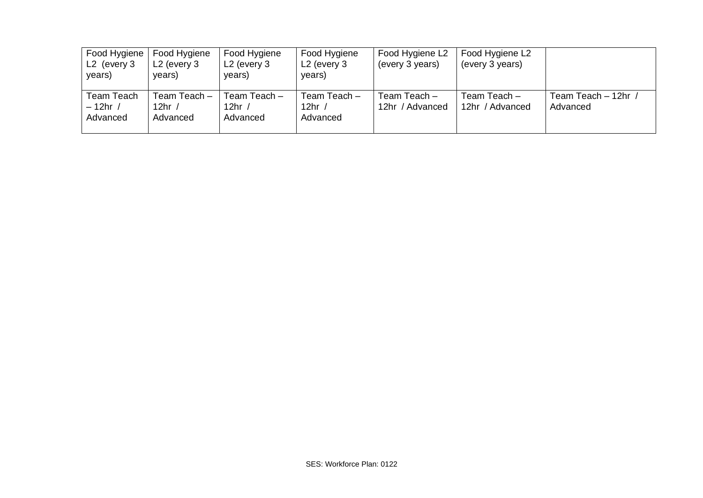| Food Hygiene<br>$L2$ (every 3<br>years) | Food Hygiene<br>$L2$ (every 3<br>years) | Food Hygiene<br>$L2$ (every 3<br>years)   | Food Hygiene<br>$L2$ (every 3<br>years) | Food Hygiene L2<br>(every 3 years) | Food Hygiene L2<br>(every 3 years) |                                 |
|-----------------------------------------|-----------------------------------------|-------------------------------------------|-----------------------------------------|------------------------------------|------------------------------------|---------------------------------|
| Team Teach<br>$-12hr/$<br>Advanced      | Team Teach -<br>12hr<br>Advanced        | Team Teach –<br>12hr $\prime$<br>Advanced | Team Teach -<br>12hr $/$<br>Advanced    | Team Teach -<br>12hr / Advanced    | Team Teach -<br>12hr / Advanced    | Team Teach - 12hr /<br>Advanced |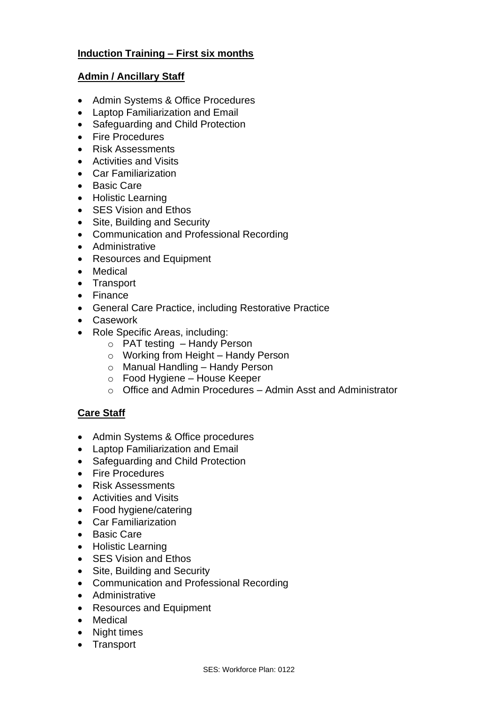#### **Induction Training – First six months**

#### **Admin / Ancillary Staff**

- Admin Systems & Office Procedures
- Laptop Familiarization and Email
- Safeguarding and Child Protection
- Fire Procedures
- Risk Assessments
- Activities and Visits
- Car Familiarization
- Basic Care
- Holistic Learning
- SES Vision and Ethos
- Site, Building and Security
- Communication and Professional Recording
- Administrative
- Resources and Equipment
- Medical
- Transport
- Finance
- General Care Practice, including Restorative Practice
- Casework
- Role Specific Areas, including:
	- o PAT testing Handy Person
	- o Working from Height Handy Person
	- o Manual Handling Handy Person
	- o Food Hygiene House Keeper
	- o Office and Admin Procedures Admin Asst and Administrator

#### **Care Staff**

- Admin Systems & Office procedures
- Laptop Familiarization and Email
- Safeguarding and Child Protection
- Fire Procedures
- Risk Assessments
- Activities and Visits
- Food hygiene/catering
- Car Familiarization
- Basic Care
- Holistic Learning
- SES Vision and Ethos
- Site, Building and Security
- Communication and Professional Recording
- Administrative
- Resources and Equipment
- Medical
- Night times
- Transport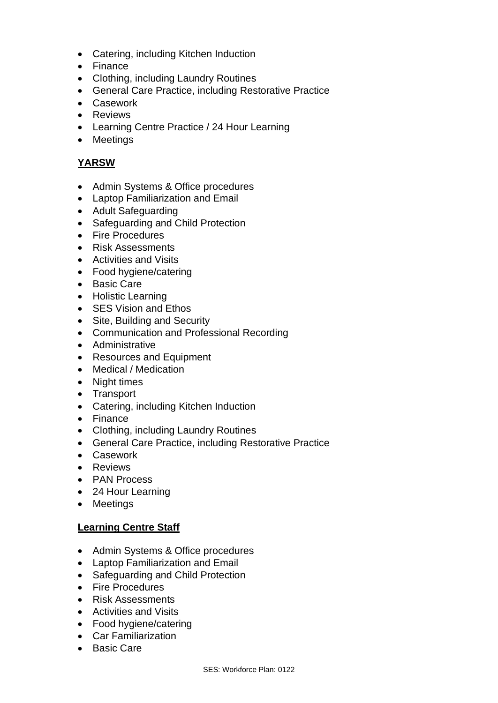- Catering, including Kitchen Induction
- Finance
- Clothing, including Laundry Routines
- General Care Practice, including Restorative Practice
- Casework
- Reviews
- Learning Centre Practice / 24 Hour Learning
- Meetings

#### **YARSW**

- Admin Systems & Office procedures
- Laptop Familiarization and Email
- Adult Safeguarding
- Safeguarding and Child Protection
- Fire Procedures
- Risk Assessments
- Activities and Visits
- Food hygiene/catering
- Basic Care
- Holistic Learning
- SES Vision and Ethos
- Site, Building and Security
- Communication and Professional Recording
- Administrative
- Resources and Equipment
- Medical / Medication
- Night times
- Transport
- Catering, including Kitchen Induction
- Finance
- Clothing, including Laundry Routines
- General Care Practice, including Restorative Practice
- Casework
- Reviews
- PAN Process
- 24 Hour Learning
- Meetings

#### **Learning Centre Staff**

- Admin Systems & Office procedures
- Laptop Familiarization and Email
- Safeguarding and Child Protection
- Fire Procedures
- Risk Assessments
- Activities and Visits
- Food hygiene/catering
- Car Familiarization
- Basic Care